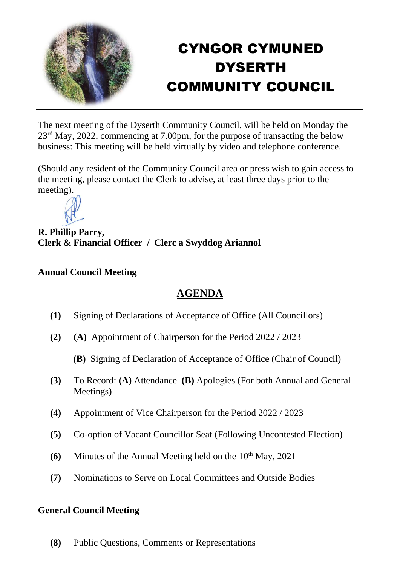

## CYNGOR CYMUNED DYSERTH COMMUNITY COUNCIL

The next meeting of the Dyserth Community Council, will be held on Monday the 23<sup>rd</sup> May, 2022, commencing at 7.00pm, for the purpose of transacting the below business: This meeting will be held virtually by video and telephone conference.

(Should any resident of the Community Council area or press wish to gain access to the meeting, please contact the Clerk to advise, at least three days prior to the meeting).



**R. Phillip Parry, Clerk & Financial Officer / Clerc a Swyddog Ariannol**

## **Annual Council Meeting**

## **AGENDA**

- **(1)** Signing of Declarations of Acceptance of Office (All Councillors)
- **(2) (A)** Appointment of Chairperson for the Period 2022 / 2023
	- **(B)** Signing of Declaration of Acceptance of Office (Chair of Council)
- **(3)** To Record: **(A)** Attendance **(B)** Apologies (For both Annual and General Meetings)
- **(4)** Appointment of Vice Chairperson for the Period 2022 / 2023
- **(5)** Co-option of Vacant Councillor Seat (Following Uncontested Election)
- **(6)** Minutes of the Annual Meeting held on the  $10<sup>th</sup>$  May, 2021
- **(7)** Nominations to Serve on Local Committees and Outside Bodies

## **General Council Meeting**

**(8)** Public Questions, Comments or Representations